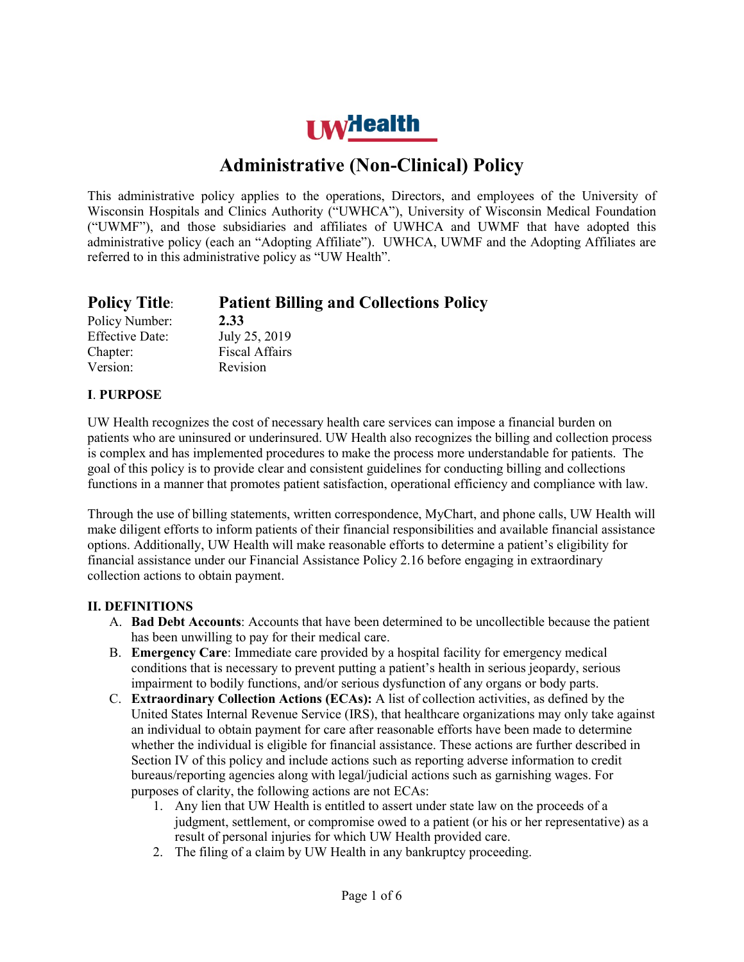# **LW**Health

# **Administrative (Non-Clinical) Policy**

This administrative policy applies to the operations, Directors, and employees of the University of Wisconsin Hospitals and Clinics Authority ("UWHCA"), University of Wisconsin Medical Foundation ("UWMF"), and those subsidiaries and affiliates of UWHCA and UWMF that have adopted this administrative policy (each an "Adopting Affiliate"). UWHCA, UWMF and the Adopting Affiliates are referred to in this administrative policy as "UW Health".

| <b>Policy Title:</b>   | <b>Patient Billing and Collections Policy</b> |
|------------------------|-----------------------------------------------|
| Policy Number:         | 2.33                                          |
| <b>Effective Date:</b> | July 25, 2019                                 |
| Chapter:               | <b>Fiscal Affairs</b>                         |
| Version:               | Revision                                      |

## **I**. **PURPOSE**

UW Health recognizes the cost of necessary health care services can impose a financial burden on patients who are uninsured or underinsured. UW Health also recognizes the billing and collection process is complex and has implemented procedures to make the process more understandable for patients. The goal of this policy is to provide clear and consistent guidelines for conducting billing and collections functions in a manner that promotes patient satisfaction, operational efficiency and compliance with law.

Through the use of billing statements, written correspondence, MyChart, and phone calls, UW Health will make diligent efforts to inform patients of their financial responsibilities and available financial assistance options. Additionally, UW Health will make reasonable efforts to determine a patient's eligibility for financial assistance under our Financial Assistance Policy 2.16 before engaging in extraordinary collection actions to obtain payment.

#### **II. DEFINITIONS**

- A. **Bad Debt Accounts**: Accounts that have been determined to be uncollectible because the patient has been unwilling to pay for their medical care.
- B. **Emergency Care**: Immediate care provided by a hospital facility for emergency medical conditions that is necessary to prevent putting a patient's health in serious jeopardy, serious impairment to bodily functions, and/or serious dysfunction of any organs or body parts.
- C. **Extraordinary Collection Actions (ECAs):** A list of collection activities, as defined by the United States Internal Revenue Service (IRS), that healthcare organizations may only take against an individual to obtain payment for care after reasonable efforts have been made to determine whether the individual is eligible for financial assistance. These actions are further described in Section IV of this policy and include actions such as reporting adverse information to credit bureaus/reporting agencies along with legal/judicial actions such as garnishing wages. For purposes of clarity, the following actions are not ECAs:
	- 1. Any lien that UW Health is entitled to assert under state law on the proceeds of a judgment, settlement, or compromise owed to a patient (or his or her representative) as a result of personal injuries for which UW Health provided care.
	- 2. The filing of a claim by UW Health in any bankruptcy proceeding.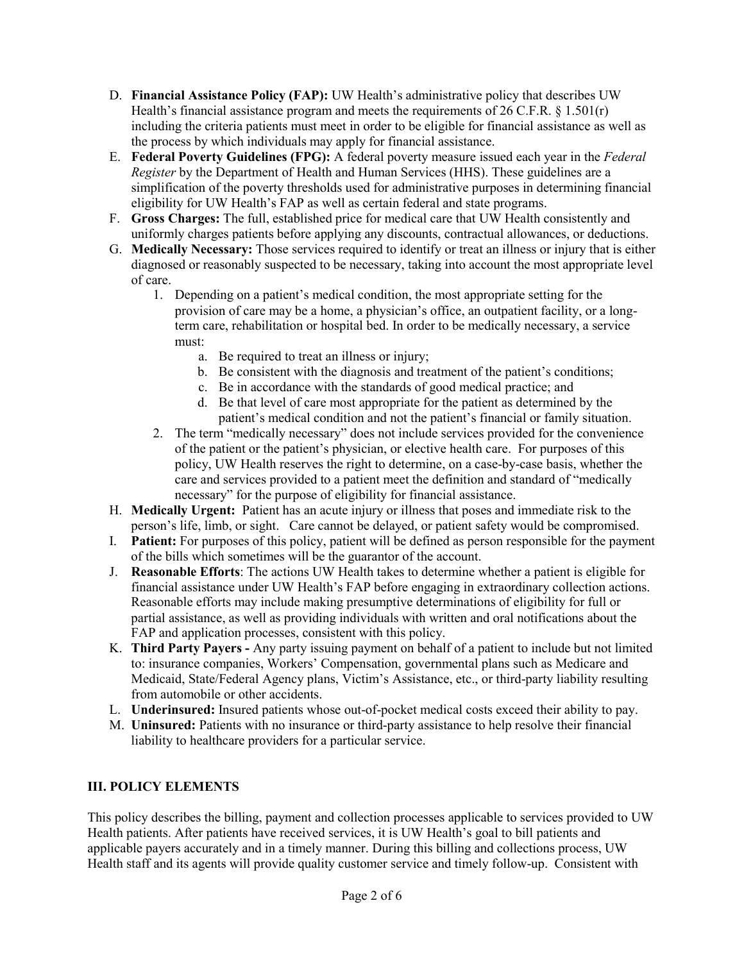- D. **Financial Assistance Policy (FAP):** UW Health's administrative policy that describes UW Health's financial assistance program and meets the requirements of 26 C.F.R.  $\S$  1.501(r) including the criteria patients must meet in order to be eligible for financial assistance as well as the process by which individuals may apply for financial assistance.
- E. **Federal Poverty Guidelines (FPG):** A federal poverty measure issued each year in the *Federal Register* by the Department of Health and Human Services (HHS). These guidelines are a simplification of the poverty thresholds used for administrative purposes in determining financial eligibility for UW Health's FAP as well as certain federal and state programs.
- F. **Gross Charges:** The full, established price for medical care that UW Health consistently and uniformly charges patients before applying any discounts, contractual allowances, or deductions.
- G. **Medically Necessary:** Those services required to identify or treat an illness or injury that is either diagnosed or reasonably suspected to be necessary, taking into account the most appropriate level of care.
	- 1. Depending on a patient's medical condition, the most appropriate setting for the provision of care may be a home, a physician's office, an outpatient facility, or a longterm care, rehabilitation or hospital bed. In order to be medically necessary, a service must:
		- a. Be required to treat an illness or injury;
		- b. Be consistent with the diagnosis and treatment of the patient's conditions;
		- c. Be in accordance with the standards of good medical practice; and
		- d. Be that level of care most appropriate for the patient as determined by the patient's medical condition and not the patient's financial or family situation.
	- 2. The term "medically necessary" does not include services provided for the convenience of the patient or the patient's physician, or elective health care. For purposes of this policy, UW Health reserves the right to determine, on a case-by-case basis, whether the care and services provided to a patient meet the definition and standard of "medically necessary" for the purpose of eligibility for financial assistance.
- H. **Medically Urgent:** Patient has an acute injury or illness that poses and immediate risk to the person's life, limb, or sight. Care cannot be delayed, or patient safety would be compromised.
- I. **Patient:** For purposes of this policy, patient will be defined as person responsible for the payment of the bills which sometimes will be the guarantor of the account.
- J. **Reasonable Efforts**: The actions UW Health takes to determine whether a patient is eligible for financial assistance under UW Health's FAP before engaging in extraordinary collection actions. Reasonable efforts may include making presumptive determinations of eligibility for full or partial assistance, as well as providing individuals with written and oral notifications about the FAP and application processes, consistent with this policy.
- K. **Third Party Payers -** Any party issuing payment on behalf of a patient to include but not limited to: insurance companies, Workers' Compensation, governmental plans such as Medicare and Medicaid, State/Federal Agency plans, Victim's Assistance, etc., or third-party liability resulting from automobile or other accidents.
- L. **Underinsured:** Insured patients whose out-of-pocket medical costs exceed their ability to pay.
- M. **Uninsured:** Patients with no insurance or third-party assistance to help resolve their financial liability to healthcare providers for a particular service.

#### **III. POLICY ELEMENTS**

This policy describes the billing, payment and collection processes applicable to services provided to UW Health patients. After patients have received services, it is UW Health's goal to bill patients and applicable payers accurately and in a timely manner. During this billing and collections process, UW Health staff and its agents will provide quality customer service and timely follow-up. Consistent with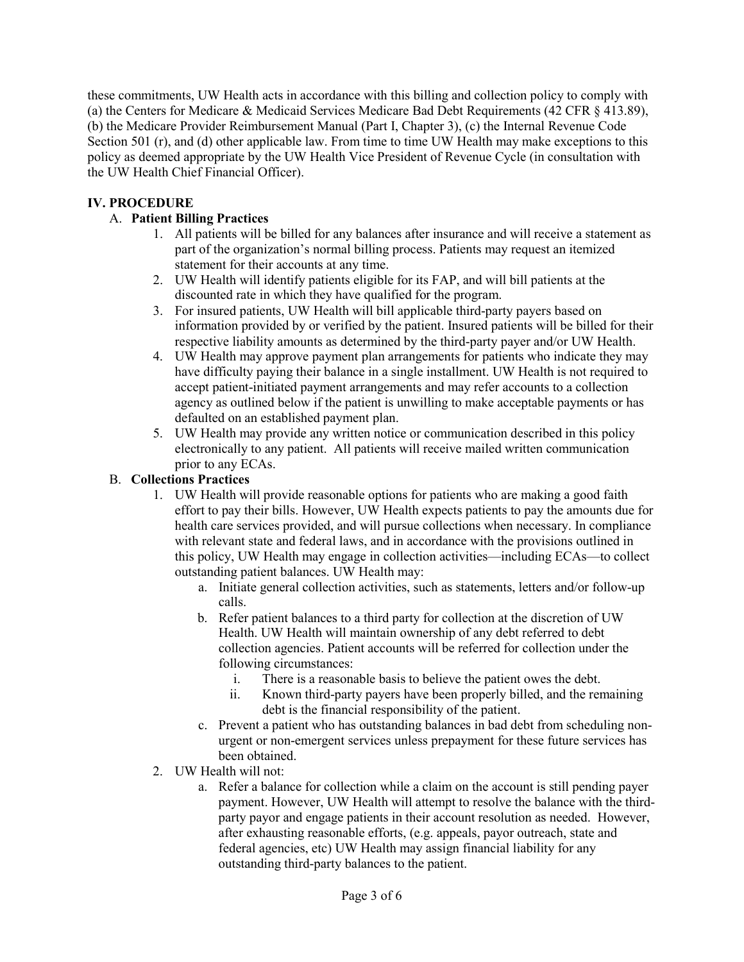these commitments, UW Health acts in accordance with this billing and collection policy to comply with (a) the Centers for Medicare & Medicaid Services Medicare Bad Debt Requirements (42 CFR § 413.89), (b) the Medicare Provider Reimbursement Manual (Part I, Chapter 3), (c) the Internal Revenue Code Section 501 (r), and (d) other applicable law. From time to time UW Health may make exceptions to this policy as deemed appropriate by the UW Health Vice President of Revenue Cycle (in consultation with the UW Health Chief Financial Officer).

### **IV. PROCEDURE**

#### A. **Patient Billing Practices**

- 1. All patients will be billed for any balances after insurance and will receive a statement as part of the organization's normal billing process. Patients may request an itemized statement for their accounts at any time.
- 2. UW Health will identify patients eligible for its FAP, and will bill patients at the discounted rate in which they have qualified for the program.
- 3. For insured patients, UW Health will bill applicable third-party payers based on information provided by or verified by the patient. Insured patients will be billed for their respective liability amounts as determined by the third-party payer and/or UW Health.
- 4. UW Health may approve payment plan arrangements for patients who indicate they may have difficulty paying their balance in a single installment. UW Health is not required to accept patient-initiated payment arrangements and may refer accounts to a collection agency as outlined below if the patient is unwilling to make acceptable payments or has defaulted on an established payment plan.
- 5. UW Health may provide any written notice or communication described in this policy electronically to any patient. All patients will receive mailed written communication prior to any ECAs.

#### B. **Collections Practices**

- 1. UW Health will provide reasonable options for patients who are making a good faith effort to pay their bills. However, UW Health expects patients to pay the amounts due for health care services provided, and will pursue collections when necessary. In compliance with relevant state and federal laws, and in accordance with the provisions outlined in this policy, UW Health may engage in collection activities—including ECAs—to collect outstanding patient balances. UW Health may:
	- a. Initiate general collection activities, such as statements, letters and/or follow-up calls.
	- b. Refer patient balances to a third party for collection at the discretion of UW Health. UW Health will maintain ownership of any debt referred to debt collection agencies. Patient accounts will be referred for collection under the following circumstances:
		- i. There is a reasonable basis to believe the patient owes the debt.
		- ii. Known third-party payers have been properly billed, and the remaining debt is the financial responsibility of the patient.
	- c. Prevent a patient who has outstanding balances in bad debt from scheduling nonurgent or non-emergent services unless prepayment for these future services has been obtained.
- 2. UW Health will not:
	- a. Refer a balance for collection while a claim on the account is still pending payer payment. However, UW Health will attempt to resolve the balance with the thirdparty payor and engage patients in their account resolution as needed. However, after exhausting reasonable efforts, (e.g. appeals, payor outreach, state and federal agencies, etc) UW Health may assign financial liability for any outstanding third-party balances to the patient.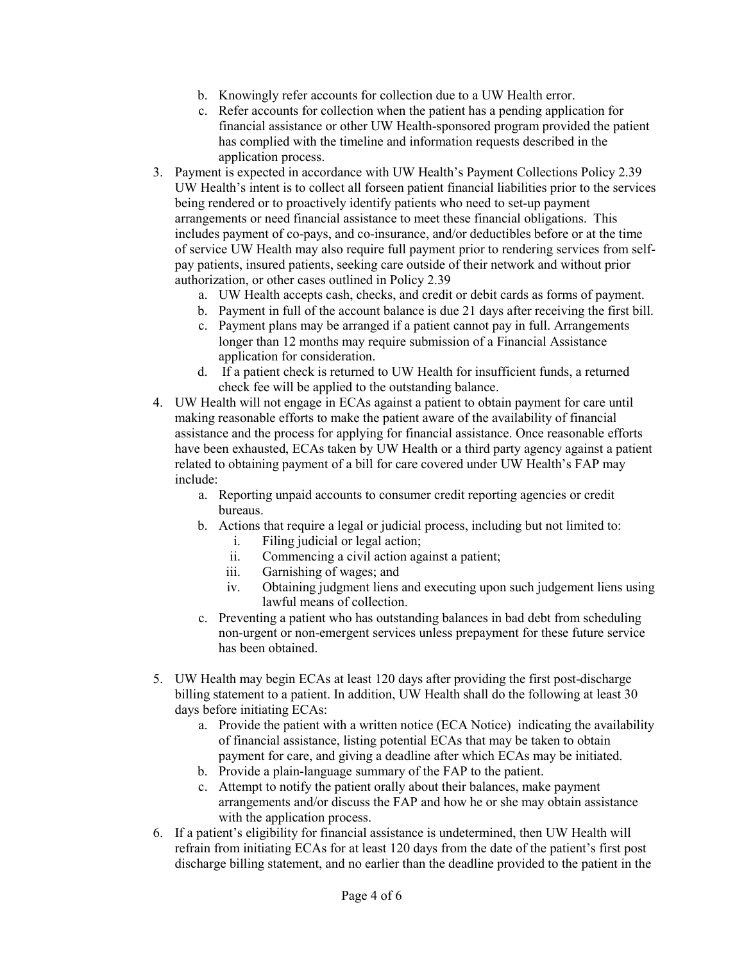- b. Knowingly refer accounts for collection due to a UW Health error.
- c. Refer accounts for collection when the patient has a pending application for financial assistance or other UW Health-sponsored program provided the patient has complied with the timeline and information requests described in the application process.
- 3. Payment is expected in accordance with UW Health's Payment Collections Policy 2.39 UW Health's intent is to collect all forseen patient financial liabilities prior to the services being rendered or to proactively identify patients who need to set-up payment arrangements or need financial assistance to meet these financial obligations. This includes payment of co-pays, and co-insurance, and/or deductibles before or at the time of service UW Health may also require full payment prior to rendering services from selfpay patients, insured patients, seeking care outside of their network and without prior authorization, or other cases outlined in Policy 2.39
	- a. UW Health accepts cash, checks, and credit or debit cards as forms of payment.
	- b. Payment in full of the account balance is due 21 days after receiving the first bill.
	- c. Payment plans may be arranged if a patient cannot pay in full. Arrangements longer than 12 months may require submission of a Financial Assistance application for consideration.
	- d. If a patient check is returned to UW Health for insufficient funds, a returned check fee will be applied to the outstanding balance.
- 4. UW Health will not engage in ECAs against a patient to obtain payment for care until making reasonable efforts to make the patient aware of the availability of financial assistance and the process for applying for financial assistance. Once reasonable efforts have been exhausted, ECAs taken by UW Health or a third party agency against a patient related to obtaining payment of a bill for care covered under UW Health's FAP may include:
	- a. Reporting unpaid accounts to consumer credit reporting agencies or credit bureaus.
	- b. Actions that require a legal or judicial process, including but not limited to:
		- i. Filing judicial or legal action;
		- ii. Commencing a civil action against a patient;
		- iii. Garnishing of wages; and
		- iv. Obtaining judgment liens and executing upon such judgement liens using lawful means of collection.
	- c. Preventing a patient who has outstanding balances in bad debt from scheduling non-urgent or non-emergent services unless prepayment for these future service has been obtained.
- 5. UW Health may begin ECAs at least 120 days after providing the first post-discharge billing statement to a patient. In addition, UW Health shall do the following at least 30 days before initiating ECAs:
	- a. Provide the patient with a written notice (ECA Notice) indicating the availability of financial assistance, listing potential ECAs that may be taken to obtain payment for care, and giving a deadline after which ECAs may be initiated.
	- b. Provide a plain-language summary of the FAP to the patient.
	- c. Attempt to notify the patient orally about their balances, make payment arrangements and/or discuss the FAP and how he or she may obtain assistance with the application process.
- 6. If a patient's eligibility for financial assistance is undetermined, then UW Health will refrain from initiating ECAs for at least 120 days from the date of the patient's first post discharge billing statement, and no earlier than the deadline provided to the patient in the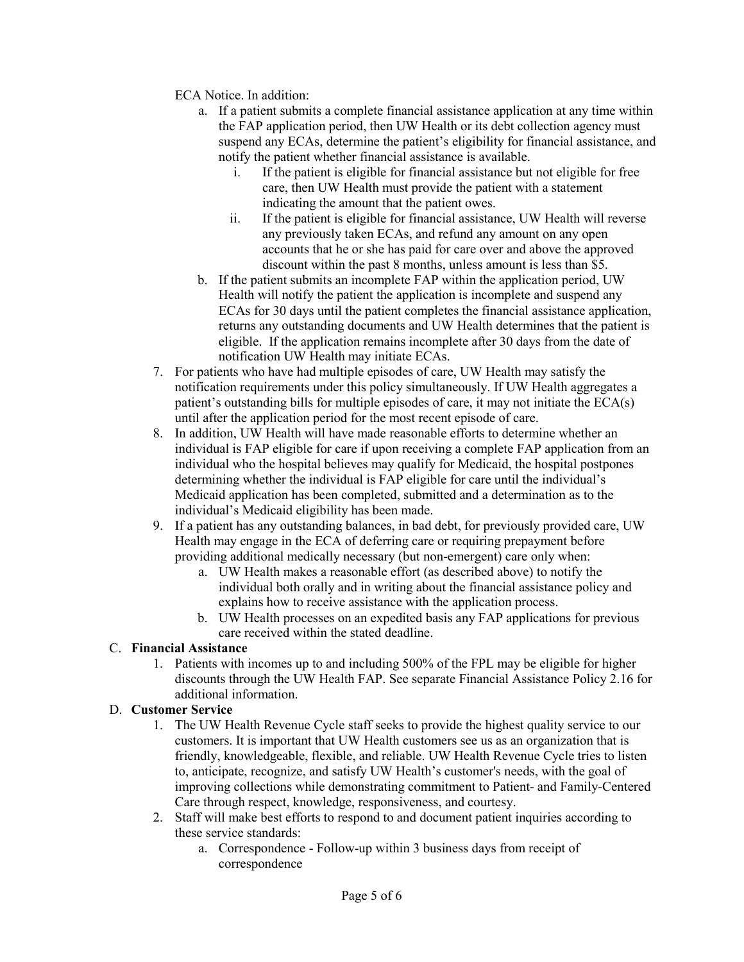ECA Notice. In addition:

- a. If a patient submits a complete financial assistance application at any time within the FAP application period, then UW Health or its debt collection agency must suspend any ECAs, determine the patient's eligibility for financial assistance, and notify the patient whether financial assistance is available.
	- i. If the patient is eligible for financial assistance but not eligible for free care, then UW Health must provide the patient with a statement indicating the amount that the patient owes.
	- ii. If the patient is eligible for financial assistance, UW Health will reverse any previously taken ECAs, and refund any amount on any open accounts that he or she has paid for care over and above the approved discount within the past 8 months, unless amount is less than \$5.
- b. If the patient submits an incomplete FAP within the application period, UW Health will notify the patient the application is incomplete and suspend any ECAs for 30 days until the patient completes the financial assistance application, returns any outstanding documents and UW Health determines that the patient is eligible. If the application remains incomplete after 30 days from the date of notification UW Health may initiate ECAs.
- 7. For patients who have had multiple episodes of care, UW Health may satisfy the notification requirements under this policy simultaneously. If UW Health aggregates a patient's outstanding bills for multiple episodes of care, it may not initiate the ECA(s) until after the application period for the most recent episode of care.
- 8. In addition, UW Health will have made reasonable efforts to determine whether an individual is FAP eligible for care if upon receiving a complete FAP application from an individual who the hospital believes may qualify for Medicaid, the hospital postpones determining whether the individual is FAP eligible for care until the individual's Medicaid application has been completed, submitted and a determination as to the individual's Medicaid eligibility has been made.
- 9. If a patient has any outstanding balances, in bad debt, for previously provided care, UW Health may engage in the ECA of deferring care or requiring prepayment before providing additional medically necessary (but non-emergent) care only when:
	- a. UW Health makes a reasonable effort (as described above) to notify the individual both orally and in writing about the financial assistance policy and explains how to receive assistance with the application process.
	- b. UW Health processes on an expedited basis any FAP applications for previous care received within the stated deadline.

#### C. **Financial Assistance**

1. Patients with incomes up to and including 500% of the FPL may be eligible for higher discounts through the UW Health FAP. See separate Financial Assistance Policy 2.16 for additional information.

#### D. **Customer Service**

- 1. The UW Health Revenue Cycle staff seeks to provide the highest quality service to our customers. It is important that UW Health customers see us as an organization that is friendly, knowledgeable, flexible, and reliable. UW Health Revenue Cycle tries to listen to, anticipate, recognize, and satisfy UW Health's customer's needs, with the goal of improving collections while demonstrating commitment to Patient- and Family-Centered Care through respect, knowledge, responsiveness, and courtesy.
- 2. Staff will make best efforts to respond to and document patient inquiries according to these service standards:
	- a. Correspondence Follow-up within 3 business days from receipt of correspondence